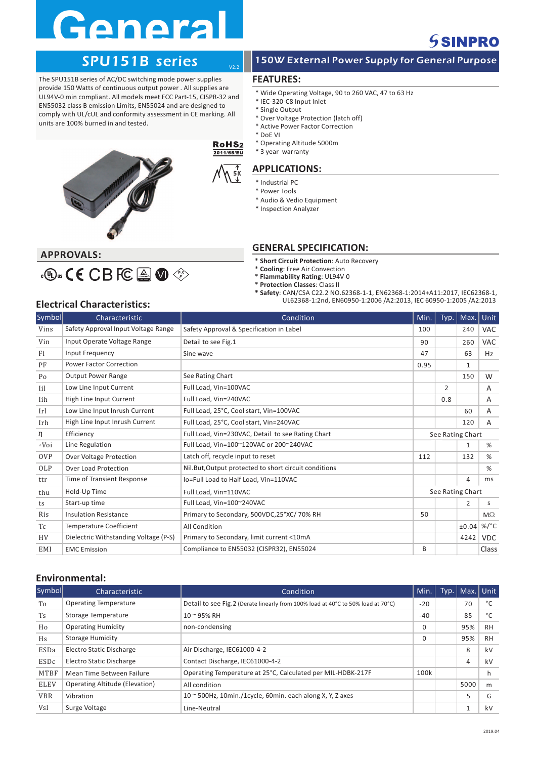# **General**

## **SSINPRO**

The SPU151B series of AC/DC switching mode power supplies provide 150 Watts of continuous output power . All supplies are UL94V-0 min compliant. All models meet FCC Part-15, CISPR-32 and EN55032 class B emission Limits, EN55024 and are designed to comply with UL/cUL and conformity assessment in CE marking. All units are 100% burned in and tested.



### SPU151B series 250W External Power Supply for General Purpose

### **FEATURES:**

V2.2

5K

RoH<sub>S2</sub> 2011/65/EU

- \* Wide Operating Voltage, 90 to 260 VAC, 47 to 63 Hz
- \* IEC-320-C8 Input Inlet
- \* Single Output
- \* Over Voltage Protection (latch off) \* Active Power Factor Correction
- \* DoE VI
- \* Operating Altitude 5000m
- \* 3 year warranty

### **APPLICATIONS:**

- \* Industrial PC \* Power Tools
- \* Audio & Vedio Equipment
- \* Inspection Analyzer
- 

## **APPROVALS:**

## S E P

- $*$  **Short Circuit Protection**: Auto Recovery
- $*$  **Cooling**: Free Air Convection

**GENERAL SPECIFICATION:**

- $*$  **Flammability Rating**: UL94V-0
- $*$  **Protection Classes**: Class II
- **\* Safety**: CAN/CSA C22.2 NO.62368-1-1, EN62368-1:2014+A11:2017, IEC62368-1, UL62368-1:2nd, EN60950-1:2006 /A2:2013, IEC 60950-1:2005 /A2:2013 **Electrical Characteristics:**

| Symbol           | Characteristic                        | Condition                                              | Min.             | Typ.           | Max.         | Unit            |
|------------------|---------------------------------------|--------------------------------------------------------|------------------|----------------|--------------|-----------------|
| Vins             | Safety Approval Input Voltage Range   | Safety Approval & Specification in Label               | 100              |                | 240          | <b>VAC</b>      |
| Vin              | Input Operate Voltage Range           | Detail to see Fig.1                                    | 90               |                | 260          | <b>VAC</b>      |
| Fi               | Input Frequency                       | Sine wave                                              | 47               |                | 63           | Hz              |
| PF               | <b>Power Factor Correction</b>        |                                                        | 0.95             |                | $\mathbf{1}$ |                 |
| Po               | <b>Output Power Range</b>             | See Rating Chart                                       |                  |                | 150          | W               |
| Iil              | Low Line Input Current                | Full Load, Vin=100VAC                                  |                  | $\overline{2}$ |              | A               |
| Iih              | High Line Input Current               | Full Load, Vin=240VAC                                  |                  | 0.8            |              | A               |
| Irl              | Low Line Input Inrush Current         | Full Load, 25°C, Cool start, Vin=100VAC                |                  |                | 60           | A               |
| Irh              | High Line Input Inrush Current        | Full Load, 25°C, Cool start, Vin=240VAC                |                  |                | 120          | $\mathsf{A}$    |
| $\eta$           | Efficiency                            | Full Load, Vin=230VAC, Detail to see Rating Chart      | See Rating Chart |                |              |                 |
| $\triangle V$ oi | Line Regulation                       | Full Load, Vin=100~120VAC or 200~240VAC                |                  |                | $\mathbf{1}$ | %               |
| <b>OVP</b>       | Over Voltage Protection               | Latch off, recycle input to reset                      | 112              |                | 132          | %               |
| OLP              | <b>Over Load Protection</b>           | Nil. But, Output protected to short circuit conditions |                  |                |              | %               |
| ttr              | <b>Time of Transient Response</b>     | Io=Full Load to Half Load, Vin=110VAC                  |                  |                | 4            | ms              |
| thu              | Hold-Up Time                          | Full Load, Vin=110VAC                                  | See Rating Chart |                |              |                 |
| ts               | Start-up time                         | Full Load, Vin=100~240VAC                              |                  |                | 2            | s               |
| <b>Ris</b>       | <b>Insulation Resistance</b>          | Primary to Secondary, 500VDC,25°XC/70% RH              | 50               |                |              | $M\Omega$       |
| T <sub>C</sub>   | <b>Temperature Coefficient</b>        | All Condition                                          |                  |                | ±0.04        | %/ $^{\circ}$ C |
| <b>HV</b>        | Dielectric Withstanding Voltage (P-S) | Primary to Secondary, limit current <10mA              |                  |                | 4242         | <b>VDC</b>      |
| EMI              | <b>EMC</b> Emission                   | Compliance to EN55032 (CISPR32), EN55024               | B                |                |              | Class           |

### **Environmental:**

| Symbol      | Characteristic                        | Condition                                                                        | Min.     | Typ. | Max. Unit |           |
|-------------|---------------------------------------|----------------------------------------------------------------------------------|----------|------|-----------|-----------|
| To          | <b>Operating Temperature</b>          | Detail to see Fig.2 (Derate linearly from 100% load at 40°C to 50% load at 70°C) | $-20$    |      | 70        | °€        |
| Ts          | Storage Temperature                   | $10 - 95%$ RH                                                                    | $-40$    |      | 85        | °С        |
| Ho          | <b>Operating Humidity</b>             | non-condensing                                                                   | 0        |      | 95%       | <b>RH</b> |
| Hs          | <b>Storage Humidity</b>               |                                                                                  | $\Omega$ |      | 95%       | <b>RH</b> |
| ESDa        | Electro Static Discharge              | Air Discharge, IEC61000-4-2                                                      |          |      | 8         | kV        |
| ESDc        | Electro Static Discharge              | Contact Discharge, IEC61000-4-2                                                  |          |      | 4         | kV        |
| MTBF        | Mean Time Between Failure             | Operating Temperature at 25°C, Calculated per MIL-HDBK-217F                      | 100k     |      |           |           |
| <b>ELEV</b> | <b>Operating Altitude (Elevation)</b> | All condition                                                                    |          |      | 5000      | m         |
| <b>VBR</b>  | Vibration                             | $10 \approx 500$ Hz, 10min./1cycle, 60min. each along X, Y, Z axes               |          |      | 5         | G         |
| Vsl         | Surge Voltage                         | Line-Neutral                                                                     |          |      |           | kV        |